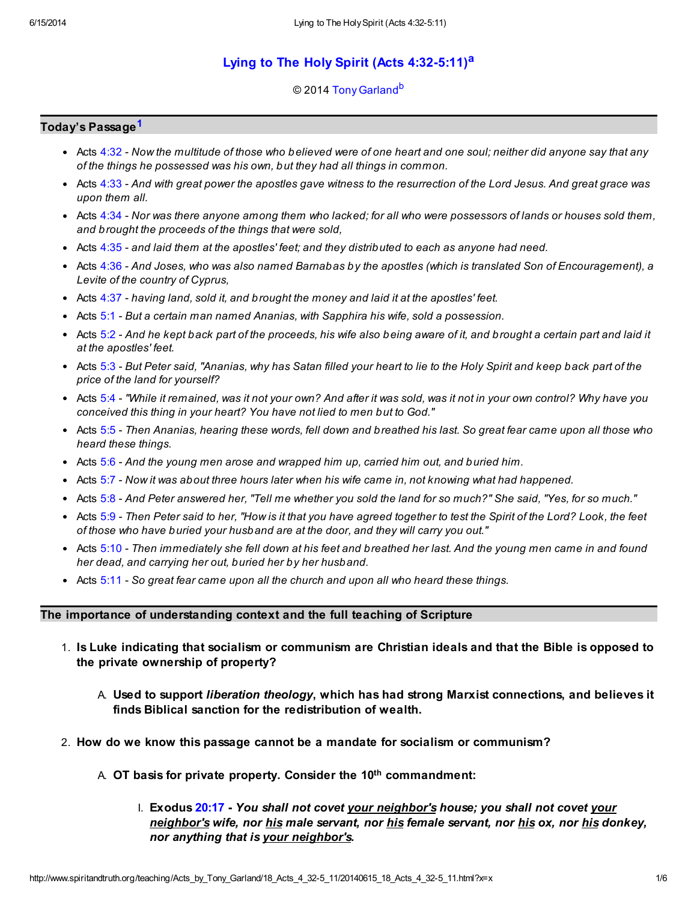# [Lying to The Holy Spirit \(Acts 4:32-5:11\)](http://www.spiritandtruth.org/teaching/Acts_by_Tony_Garland/18_Acts_4_32-5_11/index.htm)<sup>[a](#page-5-0)</sup>

# <span id="page-0-2"></span><span id="page-0-1"></span>© 2014 [Tony Garland](http://www.spiritandtruth.org/id/tg.htm)<sup>[b](#page-5-1)</sup>

# Today's Passage<sup>[1](#page-5-2)</sup>

- <span id="page-0-0"></span>• Acts [4:32](http://www.spiritandtruth.org/bibles/nasb/b44c004.htm#Acts_C4V32) - Now the multitude of those who believed were of one heart and one soul; neither did anyone say that any of the things he possessed was his own, but they had all things in common.
- Acts [4:33](http://www.spiritandtruth.org/bibles/nasb/b44c004.htm#Acts_C4V33) And with great power the apostles gave witness to the resurrection of the Lord Jesus. And great grace was upon them all.
- Acts [4:34](http://www.spiritandtruth.org/bibles/nasb/b44c004.htm#Acts_C4V34) Nor was there anyone among them who lacked; for all who were possessors of lands or houses sold them, and brought the proceeds of the things that were sold,
- $\bullet$  Acts [4:35](http://www.spiritandtruth.org/bibles/nasb/b44c004.htm#Acts_C4V35) and laid them at the apostles' feet; and they distributed to each as anyone had need.
- Acts  $4:36$  And Joses, who was also named Barnabas by the apostles (which is translated Son of Encouragement), a Levite of the country of Cyprus,
- Acts [4:37](http://www.spiritandtruth.org/bibles/nasb/b44c004.htm#Acts_C4V37) having land, sold it, and brought the money and laid it at the apostles' feet.
- Acts  $5:1$  But a certain man named Ananias, with Sapphira his wife, sold a possession.
- $\bullet$  Acts [5:2](http://www.spiritandtruth.org/bibles/nasb/b44c005.htm#Acts_C5V2)  And he kept back part of the proceeds, his wife also being aware of it, and brought a certain part and laid it at the apostles' feet.
- Acts [5:3](http://www.spiritandtruth.org/bibles/nasb/b44c005.htm#Acts_C5V3)  But Peter said, "Ananias, why has Satan filled your heart to lie to the Holy Spirit and keep back part of the price of the land for yourself?
- Acts [5:4](http://www.spiritandtruth.org/bibles/nasb/b44c005.htm#Acts_C5V4)  "While it remained, was it not your own? And after it was sold, was it not in your own control? Why have you conceived this thing in your heart? You have not lied to men but to God."
- Acts [5:5](http://www.spiritandtruth.org/bibles/nasb/b44c005.htm#Acts_C5V5)  Then Ananias, hearing these words, fell down and breathed his last. So great fear came upon all those who heard these things.
- Acts  $5:6$  And the young men arose and wrapped him up, carried him out, and buried him.
- $\bullet$  Acts [5:7](http://www.spiritandtruth.org/bibles/nasb/b44c005.htm#Acts_C5V7)  Now it was about three hours later when his wife came in, not knowing what had happened.
- Acts [5:8](http://www.spiritandtruth.org/bibles/nasb/b44c005.htm#Acts_C5V8)  And Peter answered her, "Tell me whether you sold the land for so much?" She said, "Yes, for so much."
- Acts  $5:9$  Then Peter said to her, "How is it that you have agreed together to test the Spirit of the Lord? Look, the feet of those who have buried your husband are at the door, and they will carry you out."
- Acts [5:10](http://www.spiritandtruth.org/bibles/nasb/b44c005.htm#Acts_C5V10) Then immediately she fell down at his feet and breathed her last. And the young men came in and found her dead, and carrying her out, buried her by her husband.
- Acts [5:11](http://www.spiritandtruth.org/bibles/nasb/b44c005.htm#Acts_C5V11) So great fear came upon all the church and upon all who heard these things.

### The importance of understanding context and the full teaching of Scripture

- 1. Is Luke indicating that socialism or communism are Christian ideals and that the Bible is opposed to the private ownership of property?
	- A. Used to support liberation theology, which has had strong Marxist connections, and believes it finds Biblical sanction for the redistribution of wealth.
- 2. How do we know this passage cannot be a mandate for socialism or communism?
	- A. OT basis for private property. Consider the 10<sup>th</sup> commandment:
		- I. Exodus [20:17](http://www.spiritandtruth.org/bibles/nasb/b02c020.htm#Ex._C20V17) You shall not covet <u>your neighbor's</u> house; you shall not covet <u>your</u> neighbor's wife, nor his male servant, nor his female servant, nor his ox, nor his donkey, nor anything that is your neighbor's.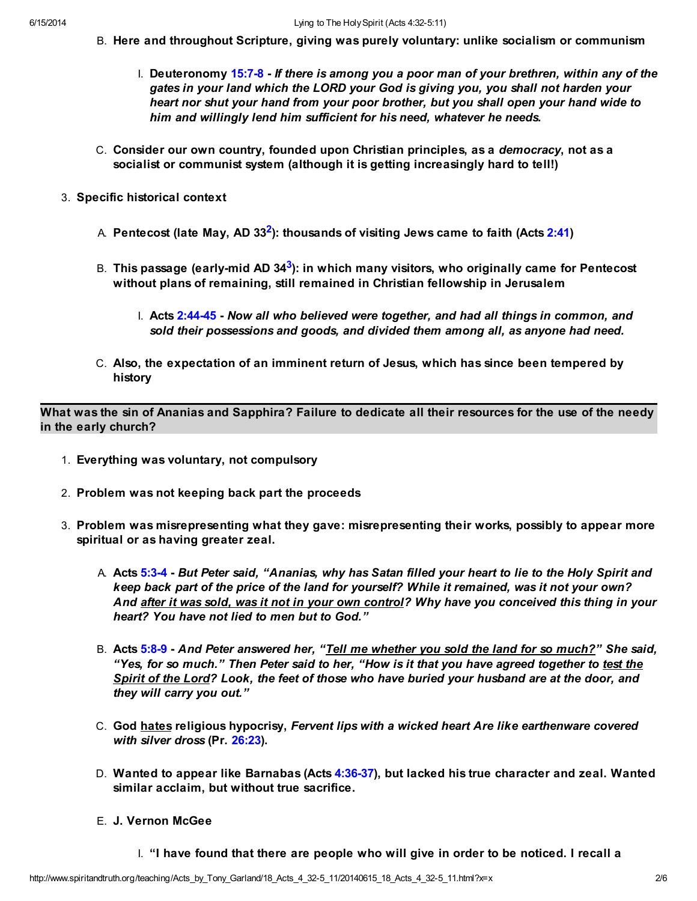- B. Here and throughout Scripture, giving was purely voluntary: unlike socialism or communism
	- I. Deuteronomy [15:7-8](http://www.spiritandtruth.org/bibles/nasb/b05c015.htm#Deu._C15V7)  If there is among you a poor man of your brethren, within any of the gates in your land which the LORD your God is giving you, you shall not harden your heart nor shut your hand from your poor brother, but you shall open your hand wide to him and willingly lend him sufficient for his need, whatever he needs.
- <span id="page-1-1"></span><span id="page-1-0"></span>C. Consider our own country, founded upon Christian principles, as a democracy, not as a socialist or communist system (although it is getting increasingly hard to tell!)
- 3. Specific historical context
	- A. Pentecost (late May, AD 33<sup>[2](#page-5-3)</sup>): thousands of visiting Jews came to faith (Acts [2:41\)](http://www.spiritandtruth.org/bibles/nasb/b44c002.htm#Acts_C2V41)
	- <code>B.</code> This passage (early-mid AD [3](#page-5-4)4<sup>3</sup>): in which many visitors, who originally came for Pentecost without plans of remaining, still remained in Christian fellowship in Jerusalem
		- I. Acts [2:44-45](http://www.spiritandtruth.org/bibles/nasb/b44c002.htm#Acts_C2V44)  Now all who believed were together, and had all things in common, and sold their possessions and goods, and divided them among all, as anyone had need.
	- C. Also, the expectation of an imminent return of Jesus, which has since been tempered by history

What was the sin of Ananias and Sapphira? Failure to dedicate all their resources for the use of the needy in the early church?

- 1. Everything was voluntary, not compulsory
- 2. Problem was not keeping back part the proceeds
- 3. Problem was misrepresenting what they gave: misrepresenting their works, possibly to appear more spiritual or as having greater zeal.
	- A. Acts [5:3-4](http://www.spiritandtruth.org/bibles/nasb/b44c005.htm#Acts_C5V3)  But Peter said, "Ananias, why has Satan filled your heart to lie to the Holy Spirit and keep back part of the price of the land for yourself? While it remained, was it not your own? And after it was sold, was it not in your own control? Why have you conceived this thing in your heart? You have not lied to men but to God."
	- B. Acts [5:8-9](http://www.spiritandtruth.org/bibles/nasb/b44c005.htm#Acts_C5V8)  And Peter answered her, "Tell me whether you sold the land for so much?" She said, "Yes, for so much." Then Peter said to her, "How is it that you have agreed together to test the Spirit of the Lord? Look, the feet of those who have buried your husband are at the door, and they will carry you out."
	- C. God hates religious hypocrisy, Fervent lips with a wicked heart Are like earthenware covered with silver dross (Pr. [26:23](http://www.spiritandtruth.org/bibles/nasb/b20c026.htm#Pr._C26V23)).
	- D. Wanted to appear like Barnabas (Acts [4:36-37\)](http://www.spiritandtruth.org/bibles/nasb/b44c004.htm#Acts_C4V36), but lacked his true character and zeal. Wanted similar acclaim, but without true sacrifice.
	- E. J. Vernon McGee
		- I. "I have found that there are people who will give in order to be noticed. I recall a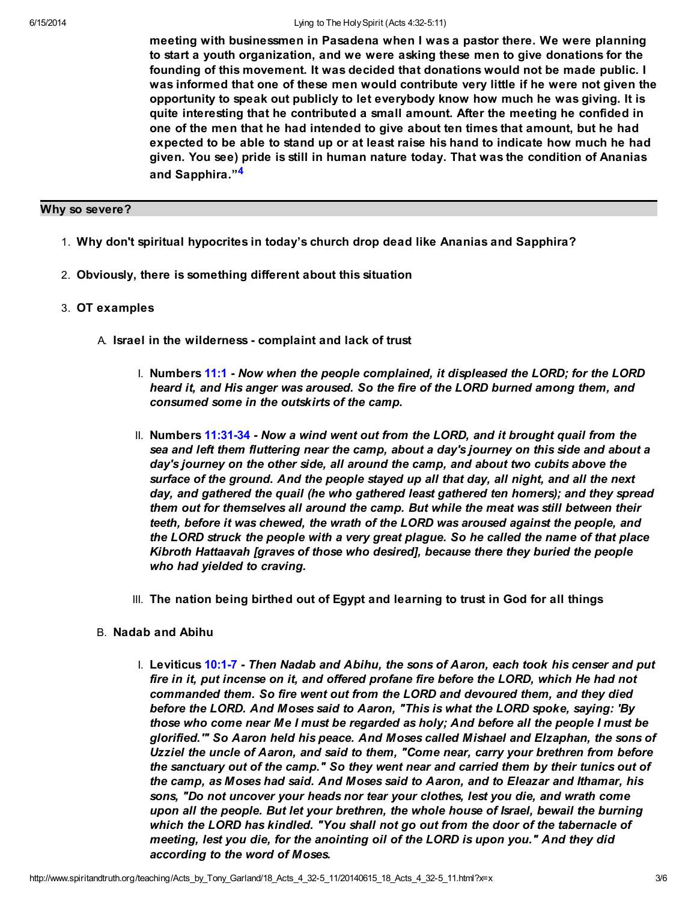<span id="page-2-0"></span>meeting with businessmen in Pasadena when I was a pastor there. We were planning to start a youth organization, and we were asking these men to give donations for the founding of this movement. It was decided that donations would not be made public. I was informed that one of these men would contribute very little if he were not given the opportunity to speak out publicly to let everybody know how much he was giving. It is quite interesting that he contributed a small amount. After the meeting he confided in one of the men that he had intended to give about ten times that amount, but he had expected to be able to stand up or at least raise his hand to indicate how much he had given. You see) pride is still in human nature today. That was the condition of Ananias and Sapphira."<sup>[4](#page-5-5)</sup>

### Why so severe?

- 1. Why don't spiritual hypocrites in today's church drop dead like Ananias and Sapphira?
- 2. Obviously, there is something different about this situation

# 3. OT examples

- A. Israel in the wilderness complaint and lack of trust
	- I. Numbers [11:1](http://www.spiritandtruth.org/bibles/nasb/b04c011.htm#Num._C11V1)  Now when the people complained, it displeased the LORD; for the LORD heard it, and His anger was aroused. So the fire of the LORD burned among them, and consumed some in the outskirts of the camp.
	- II. Numbers [11:31-34](http://www.spiritandtruth.org/bibles/nasb/b04c011.htm#Num._C11V31)  Now a wind went out from the LORD, and it brought quail from the sea and left them fluttering near the camp, about a day's journey on this side and about a day's journey on the other side, all around the camp, and about two cubits above the surface of the ground. And the people stayed up all that day, all night, and all the next day, and gathered the quail (he who gathered least gathered ten homers); and they spread them out for themselves all around the camp. But while the meat was still between their teeth, before it was chewed, the wrath of the LORD was aroused against the people, and the LORD struck the people with a very great plague. So he called the name of that place Kibroth Hattaavah [graves of those who desired], because there they buried the people who had yielded to craving.
	- III. The nation being birthed out of Egypt and learning to trust in God for all things

# B. Nadab and Abihu

I. Leviticus [10:1-7](http://www.spiritandtruth.org/bibles/nasb/b03c010.htm#Lev._C10V1) - Then Nadab and Abihu, the sons of Aaron, each took his censer and put fire in it, put incense on it, and offered profane fire before the LORD, which He had not commanded them. So fire went out from the LORD and devoured them, and they died before the LORD. And Moses said to Aaron, "This is what the LORD spoke, saying: 'By those who come near Me I must be regarded as holy; And before all the people I must be glorified.'" So Aaron held his peace. And Moses called Mishael and Elzaphan, the sons of Uzziel the uncle of Aaron, and said to them, "Come near, carry your brethren from before the sanctuary out of the camp." So they went near and carried them by their tunics out of the camp, as Moses had said. And Moses said to Aaron, and to Eleazar and Ithamar, his sons, "Do not uncover your heads nor tear your clothes, lest you die, and wrath come upon all the people. But let your brethren, the whole house of Israel, bewail the burning which the LORD has kindled. "You shall not go out from the door of the tabernacle of meeting, lest you die, for the anointing oil of the LORD is upon you." And they did according to the word of Moses.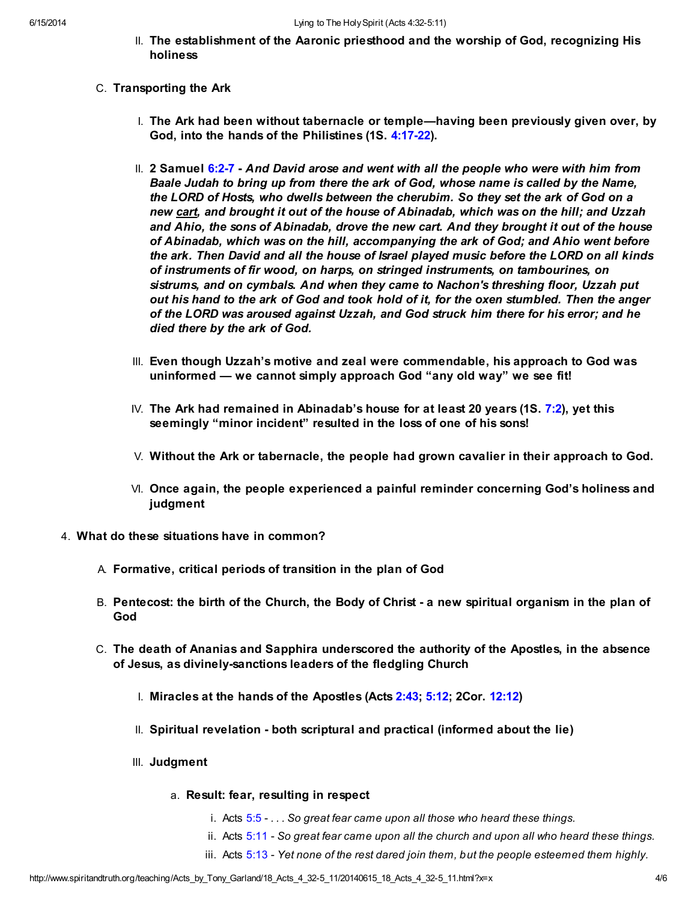- II. The establishment of the Aaronic priesthood and the worship of God, recognizing His holiness
- C. Transporting the Ark
	- I. The Ark had been without tabernacle or temple—having been previously given over, by God, into the hands of the Philistines (1S. [4:17-22](http://www.spiritandtruth.org/bibles/nasb/b09c004.htm#1S._C4V17)).
	- II. 2 Samuel [6:2-7](http://www.spiritandtruth.org/bibles/nasb/b10c006.htm#2S._C6V2) And David arose and went with all the people who were with him from Baale Judah to bring up from there the ark of God, whose name is called by the Name, the LORD of Hosts, who dwells between the cherubim. So they set the ark of God on a new cart, and brought it out of the house of Abinadab, which was on the hill; and Uzzah and Ahio, the sons of Abinadab, drove the new cart. And they brought it out of the house of Abinadab, which was on the hill, accompanying the ark of God; and Ahio went before the ark. Then David and all the house of Israel played music before the LORD on all kinds of instruments of fir wood, on harps, on stringed instruments, on tambourines, on sistrums, and on cymbals. And when they came to Nachon's threshing floor, Uzzah put out his hand to the ark of God and took hold of it, for the oxen stumbled. Then the anger of the LORD was aroused against Uzzah, and God struck him there for his error; and he died there by the ark of God.
	- III. Even though Uzzah's motive and zeal were commendable, his approach to God was uninformed — we cannot simply approach God "any old way" we see fit!
	- IV. The Ark had remained in Abinadab's house for at least 20 years (1S.  $7:2$ ), yet this seemingly "minor incident" resulted in the loss of one of his sons!
	- $V$ . Without the Ark or tabernacle, the people had grown cavalier in their approach to God.
	- VI. Once again, the people experienced a painful reminder concerning God's holiness and judgment
- 4. What do these situations have in common?
	- A. Formative, critical periods of transition in the plan of God
	- B. Pentecost: the birth of the Church, the Body of Christ a new spiritual organism in the plan of God
	- C. The death of Ananias and Sapphira underscored the authority of the Apostles, in the absence of Jesus, as divinely-sanctions leaders of the fledgling Church
		- I. Miracles at the hands of the Apostles (Acts [2:43;](http://www.spiritandtruth.org/bibles/nasb/b44c002.htm#Acts_C2V43) [5:12](http://www.spiritandtruth.org/bibles/nasb/b44c005.htm#Acts_C5V12); 2Cor. [12:12\)](http://www.spiritandtruth.org/bibles/nasb/b47c012.htm#2Cor._C12V12)
		- II. Spiritual revelation both scriptural and practical (informed about the lie)
		- III. Judgment
			- a. Result: fear, resulting in respect
				- i. Acts  $5:5$   $\ldots$  So great fear came upon all those who heard these things.
				- ii. Acts [5:11](http://www.spiritandtruth.org/bibles/nasb/b44c005.htm#Acts_C5V11)  So great fear came upon all the church and upon all who heard these things.
				- iii. Acts [5:13](http://www.spiritandtruth.org/bibles/nasb/b44c005.htm#Acts_C5V13)  Yet none of the rest dared join them, but the people esteemed them highly.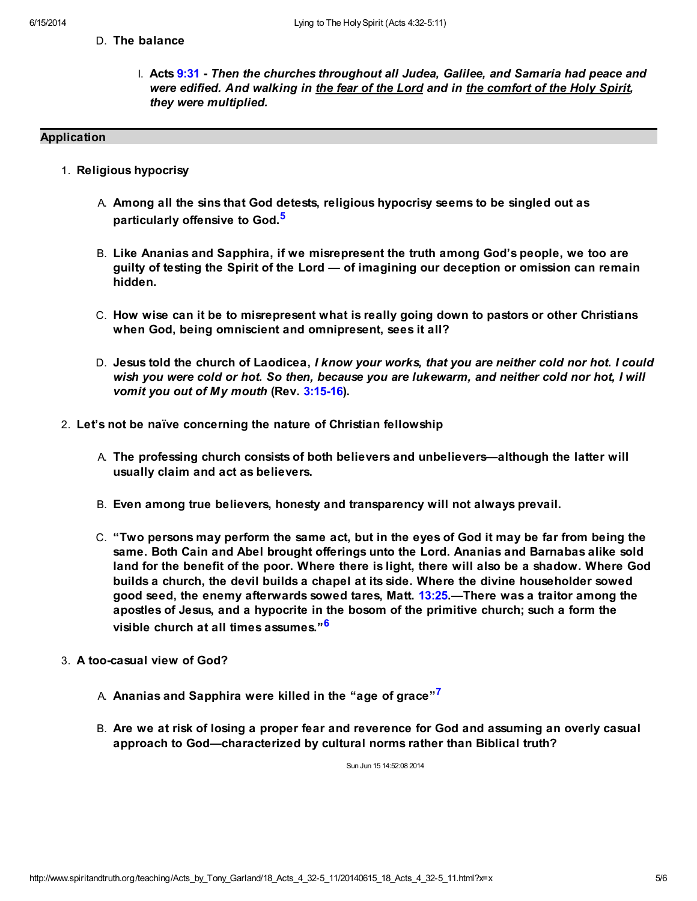D. The balance

<span id="page-4-0"></span>I. Acts [9:31](http://www.spiritandtruth.org/bibles/nasb/b44c009.htm#Acts_C9V31) - Then the churches throughout all Judea, Galilee, and Samaria had peace and were edified. And walking in the fear of the Lord and in the comfort of the Holy Spirit, they were multiplied.

#### Application

- 1. Religious hypocrisy
	- A. Among all the sins that God detests, religious hypocrisy seems to be singled out as particularly offensive to God.<sup>[5](#page-5-6)</sup>
	- B. Like Ananias and Sapphira, if we misrepresent the truth among God's people, we too are guilty of testing the Spirit of the Lord — of imagining our deception or omission can remain hidden.
	- C. How wise can it be to misrepresent what is really going down to pastors or other Christians when God, being omniscient and omnipresent, sees it all?
	- D. Jesus told the church of Laodicea, I know your works, that you are neither cold nor hot. I could wish you were cold or hot. So then, because you are lukewarm, and neither cold nor hot, I will vomit you out of My mouth (Rev. [3:15-16](http://www.spiritandtruth.org/bibles/nasb/b66c003.htm#Rev._C3V15)).
- 2. Let's not be naïve concerning the nature of Christian fellowship
	- A. The professing church consists of both believers and unbelievers—although the latter will usually claim and act as believers.
	- B. Even among true believers, honesty and transparency will not always prevail.
	- C. "Two persons may perform the same act, but in the eyes of God it may be far from being the same. Both Cain and Abel brought offerings unto the Lord. Ananias and Barnabas alike sold land for the benefit of the poor. Where there is light, there will also be a shadow. Where God builds a church, the devil builds a chapel at its side. Where the divine householder sowed good seed, the enemy afterwards sowed tares, Matt. [13:25](http://www.spiritandtruth.org/bibles/nasb/b40c013.htm#Mat._C13V25).—There was a traitor among the apostles of Jesus, and a hypocrite in the bosom of the primitive church; such a form the visible church at all times assumes "<sup>[6](#page-5-7)</sup>
- 3. A too-casual view of God?
	- A. Ananias and Sapphira were killed in the "age of grace"<sup>[7](#page-5-8)</sup>
	- B. Are we at risk of losing a proper fear and reverence for God and assuming an overly casual approach to God—characterized by cultural norms rather than Biblical truth?

<span id="page-4-2"></span><span id="page-4-1"></span>Sun Jun 15 14:52:08 2014